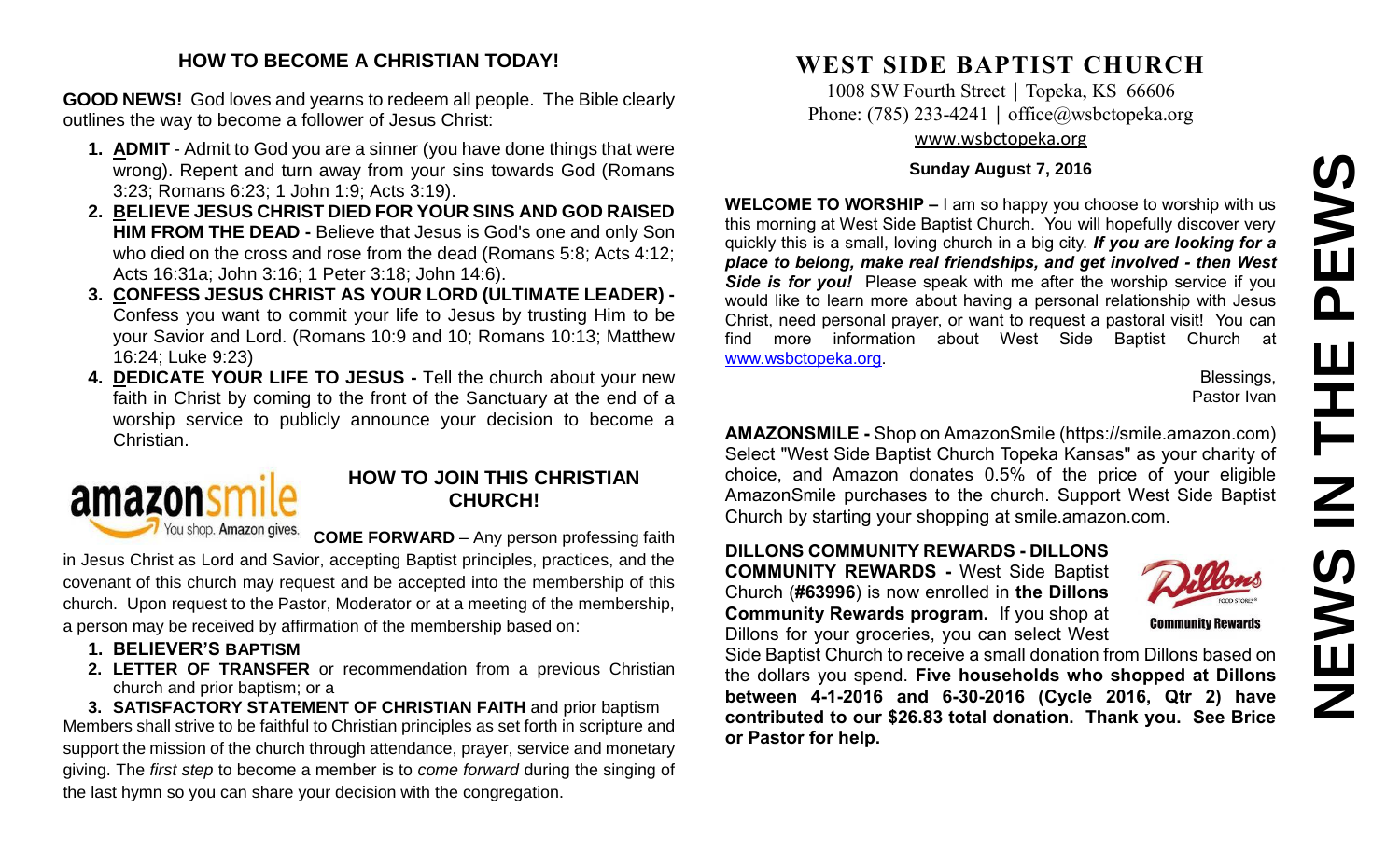# **NEWS IN THE PEWS**PEWS Ш HT H **SANEWS**

#### **HOW TO BECOME A CHRISTIAN TODAY!**

**GOOD NEWS!** God loves and yearns to redeem all people. The Bible clearly outlines the way to become a follower of Jesus Christ:

- **1. ADMIT** Admit to God you are a sinner (you have done things that were wrong). Repent and turn away from your sins towards God (Romans 3:23; Romans 6:23; 1 John 1:9; Acts 3:19).
- **2. BELIEVE JESUS CHRIST DIED FOR YOUR SINS AND GOD RAISED HIM FROM THE DEAD -** Believe that Jesus is God's one and only Son who died on the cross and rose from the dead (Romans 5:8; Acts 4:12; Acts 16:31a; John 3:16; 1 Peter 3:18; John 14:6).
- **3. CONFESS JESUS CHRIST AS YOUR LORD (ULTIMATE LEADER) -** Confess you want to commit your life to Jesus by trusting Him to be your Savior and Lord. (Romans 10:9 and 10; Romans 10:13; Matthew 16:24; Luke 9:23)
- **4. DEDICATE YOUR LIFE TO JESUS -** Tell the church about your new faith in Christ by coming to the front of the Sanctuary at the end of a worship service to publicly announce your decision to become a Christian.

# amazons You shop. Amazon gives.

#### **HOW TO JOIN THIS CHRISTIAN CHURCH!**

**COME FORWARD** – Any person professing faith

in Jesus Christ as Lord and Savior, accepting Baptist principles, practices, and the covenant of this church may request and be accepted into the membership of this church. Upon request to the Pastor, Moderator or at a meeting of the membership, a person may be received by affirmation of the membership based on:

- **1. BELIEVER'S BAPTISM**
- **2. LETTER OF TRANSFER** or recommendation from a previous Christian church and prior baptism; or a

**3. SATISFACTORY STATEMENT OF CHRISTIAN FAITH** and prior baptism Members shall strive to be faithful to Christian principles as set forth in scripture and support the mission of the church through attendance, prayer, service and monetary giving. The *first step* to become a member is to *come forward* during the singing of the last hymn so you can share your decision with the congregation.

## **WEST SIDE BAPTIST CHURCH**

1008 SW Fourth Street | Topeka, KS 66606 Phone: (785) 233-4241 │ [office@wsbctopeka.org](mailto:office@wsbctopeka.org) [www.wsbctopeka.org](http://www.wsbctopeka.org/)

#### **Sunday August 7, 2016**

**WELCOME TO WORSHIP –** I am so happy you choose to worship with us this morning at West Side Baptist Church. You will hopefully discover very quickly this is a small, loving church in a big city. *If you are looking for a place to belong, make real friendships, and get involved - then West Side is for you!* Please speak with me after the worship service if you would like to learn more about having a personal relationship with Jesus Christ, need personal prayer, or want to request a pastoral visit! You can find more information about West Side Baptist Church at [www.wsbctopeka.org.](http://www.wsbctopeka.org/)

Blessings, Pastor Ivan

**AMAZONSMILE -** Shop on AmazonSmile (https://smile.amazon.com) Select "West Side Baptist Church Topeka Kansas" as your charity of choice, and Amazon donates 0.5% of the price of your eligible AmazonSmile purchases to the church. Support West Side Baptist Church by starting your shopping at smile.amazon.com.

**DILLONS COMMUNITY REWARDS - DILLONS COMMUNITY REWARDS -** West Side Baptist Church (**#63996**) is now enrolled in **the Dillons Community Rewards program.** If you shop at Dillons for your groceries, you can select West

Side Baptist Church to receive a small donation from Dillons based on the dollars you spend. **Five households who shopped at Dillons between 4-1-2016 and 6-30-2016 (Cycle 2016, Qtr 2) have contributed to our \$26.83 total donation. Thank you. See Brice or Pastor for help.**



**Community Rewards**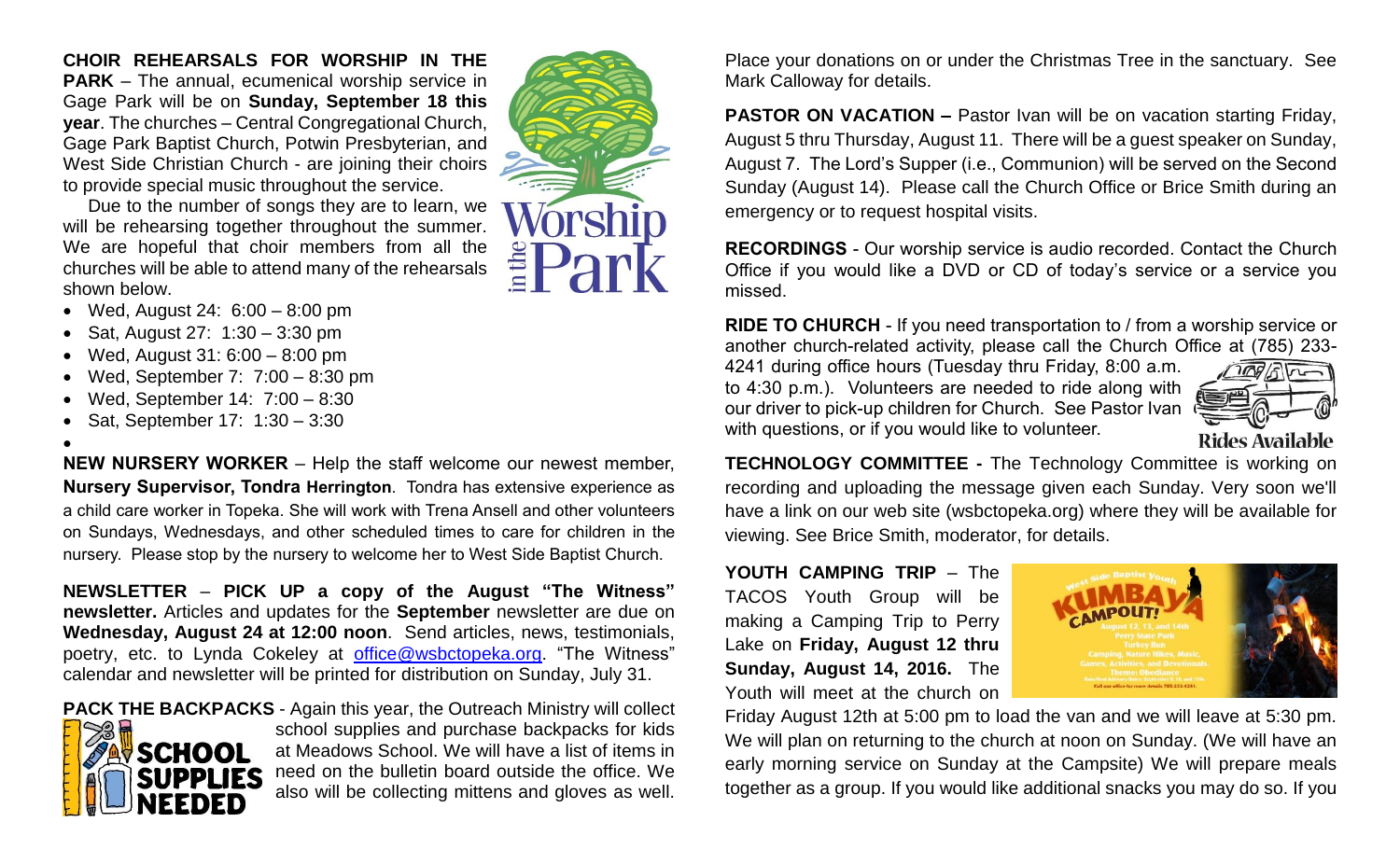#### **CHOIR REHEARSALS FOR WORSHIP IN THE PARK** – The annual, ecumenical worship service in Gage Park will be on **Sunday, September 18 this year**. The churches – Central Congregational Church, Gage Park Baptist Church, Potwin Presbyterian, and

West Side Christian Church - are joining their choirs to provide special music throughout the service. Due to the number of songs they are to learn, we will be rehearsing together throughout the summer. We are hopeful that choir members from all the churches will be able to attend many of the rehearsals shown below.

- Wed, August 24: 6:00 8:00 pm
- Sat, August 27:  $1:30 3:30$  pm
- Wed, August 31: 6:00 8:00 pm
- Wed, September 7: 7:00 8:30 pm
- Wed, September 14: 7:00 8:30
- Sat, September 17: 1:30 3:30
- $\bullet$

**NEW NURSERY WORKER** – Help the staff welcome our newest member, **Nursery Supervisor, Tondra Herrington**. Tondra has extensive experience as a child care worker in Topeka. She will work with Trena Ansell and other volunteers on Sundays, Wednesdays, and other scheduled times to care for children in the nursery. Please stop by the nursery to welcome her to West Side Baptist Church.

**NEWSLETTER** – **PICK UP a copy of the August "The Witness" newsletter.** Articles and updates for the **September** newsletter are due on **Wednesday, August 24 at 12:00 noon**. Send articles, news, testimonials, poetry, etc. to Lynda Cokeley at [office@wsbctopeka.org.](mailto:office@wsbctopeka.org) "The Witness" calendar and newsletter will be printed for distribution on Sunday, July 31.

**PACK THE BACKPACKS** - Again this year, the Outreach Ministry will collect



school supplies and purchase backpacks for kids at Meadows School. We will have a list of items in need on the bulletin board outside the office. We also will be collecting mittens and gloves as well.

Place your donations on or under the Christmas Tree in the sanctuary. See Mark Calloway for details.

**PASTOR ON VACATION –** Pastor Ivan will be on vacation starting Friday, August 5 thru Thursday, August 11. There will be a guest speaker on Sunday, August 7. The Lord's Supper (i.e., Communion) will be served on the Second Sunday (August 14). Please call the Church Office or Brice Smith during an emergency or to request hospital visits.

**RECORDINGS** - Our worship service is audio recorded. Contact the Church Office if you would like a DVD or CD of today's service or a service you missed.

**RIDE TO CHURCH** - If you need transportation to / from a worship service or another church-related activity, please call the Church Office at (785) 233-

4241 during office hours (Tuesday thru Friday, 8:00 a.m. to 4:30 p.m.). Volunteers are needed to ride along with our driver to pick-up children for Church. See Pastor Ivan with questions, or if you would like to volunteer.



**TECHNOLOGY COMMITTEE -** The Technology Committee is working on recording and uploading the message given each Sunday. Very soon we'll have a link on our web site (wsbctopeka.org) where they will be available for viewing. See Brice Smith, moderator, for details.

**YOUTH CAMPING TRIP** – The TACOS Youth Group will be making a Camping Trip to Perry Lake on **Friday, August 12 thru Sunday, August 14, 2016.** The Youth will meet at the church on



Friday August 12th at 5:00 pm to load the van and we will leave at 5:30 pm. We will plan on returning to the church at noon on Sunday. (We will have an early morning service on Sunday at the Campsite) We will prepare meals together as a group. If you would like additional snacks you may do so. If you

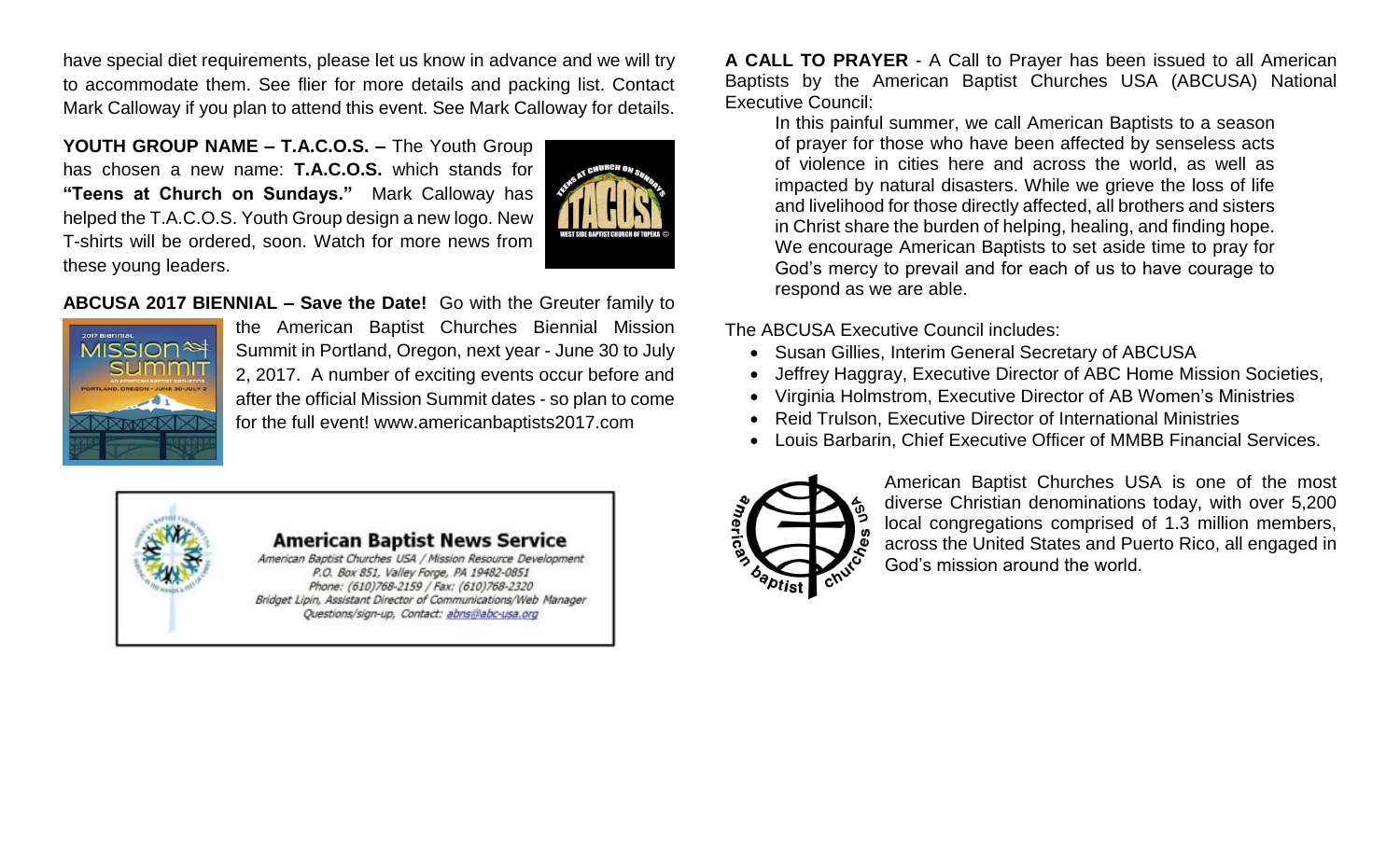have special diet requirements, please let us know in advance and we will try to accommodate them. See flier for more details and packing list. Contact Mark Calloway if you plan to attend this event. See Mark Calloway for details.

**YOUTH GROUP NAME – T.A.C.O.S. –** The Youth Group has chosen a new name: **T.A.C.O.S.** which stands for **"Teens at Church on Sundays."** Mark Calloway has helped the T.A.C.O.S. Youth Group design a new logo. New T-shirts will be ordered, soon. Watch for more news from these young leaders.



#### **ABCUSA 2017 BIENNIAL – Save the Date!** Go with the Greuter family to



the American Baptist Churches Biennial Mission Summit in Portland, Oregon, next year - June 30 to July 2, 2017. A number of exciting events occur before and after the official Mission Summit dates - so plan to come for the full event! www.americanbaptists2017.com



**A CALL TO PRAYER** - A Call to Prayer has been issued to all American Baptists by the American Baptist Churches USA (ABCUSA) National Executive Council:

In this painful summer, we call American Baptists to a season of prayer for those who have been affected by senseless acts of violence in cities here and across the world, as well as impacted by natural disasters. While we grieve the loss of life and livelihood for those directly affected, all brothers and sisters in Christ share the burden of helping, healing, and finding hope. We encourage American Baptists to set aside time to pray for God's mercy to prevail and for each of us to have courage to respond as we are able.

The ABCUSA Executive Council includes:

- Susan Gillies, Interim General Secretary of ABCUSA
- Jeffrey Haggray, Executive Director of ABC Home Mission Societies,
- Virginia Holmstrom, Executive Director of AB Women's Ministries
- Reid Trulson, Executive Director of International Ministries
- Louis Barbarin, Chief Executive Officer of MMBB Financial Services.



American Baptist Churches USA is one of the most diverse Christian denominations today, with over 5,200 local congregations comprised of 1.3 million members, across the United States and Puerto Rico, all engaged in God's mission around the world.